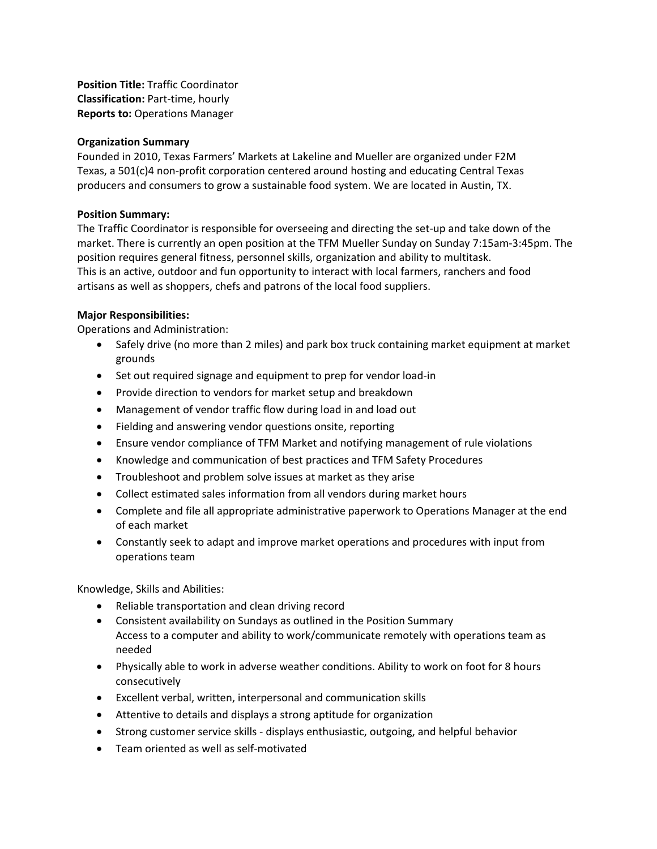**Position Title:** Traffic Coordinator **Classification:** Part-time, hourly **Reports to:** Operations Manager

## **Organization Summary**

Founded in 2010, Texas Farmers' Markets at Lakeline and Mueller are organized under F2M Texas, a 501(c)4 non-profit corporation centered around hosting and educating Central Texas producers and consumers to grow a sustainable food system. We are located in Austin, TX.

## **Position Summary:**

The Traffic Coordinator is responsible for overseeing and directing the set-up and take down of the market. There is currently an open position at the TFM Mueller Sunday on Sunday 7:15am-3:45pm. The position requires general fitness, personnel skills, organization and ability to multitask. This is an active, outdoor and fun opportunity to interact with local farmers, ranchers and food artisans as well as shoppers, chefs and patrons of the local food suppliers.

## **Major Responsibilities:**

Operations and Administration:

- Safely drive (no more than 2 miles) and park box truck containing market equipment at market grounds
- Set out required signage and equipment to prep for vendor load-in
- Provide direction to vendors for market setup and breakdown
- Management of vendor traffic flow during load in and load out
- Fielding and answering vendor questions onsite, reporting
- Ensure vendor compliance of TFM Market and notifying management of rule violations
- Knowledge and communication of best practices and TFM Safety Procedures
- Troubleshoot and problem solve issues at market as they arise
- Collect estimated sales information from all vendors during market hours
- Complete and file all appropriate administrative paperwork to Operations Manager at the end of each market
- Constantly seek to adapt and improve market operations and procedures with input from operations team

Knowledge, Skills and Abilities:

- Reliable transportation and clean driving record
- Consistent availability on Sundays as outlined in the Position Summary Access to a computer and ability to work/communicate remotely with operations team as needed
- Physically able to work in adverse weather conditions. Ability to work on foot for 8 hours consecutively
- Excellent verbal, written, interpersonal and communication skills
- Attentive to details and displays a strong aptitude for organization
- Strong customer service skills displays enthusiastic, outgoing, and helpful behavior
- Team oriented as well as self-motivated